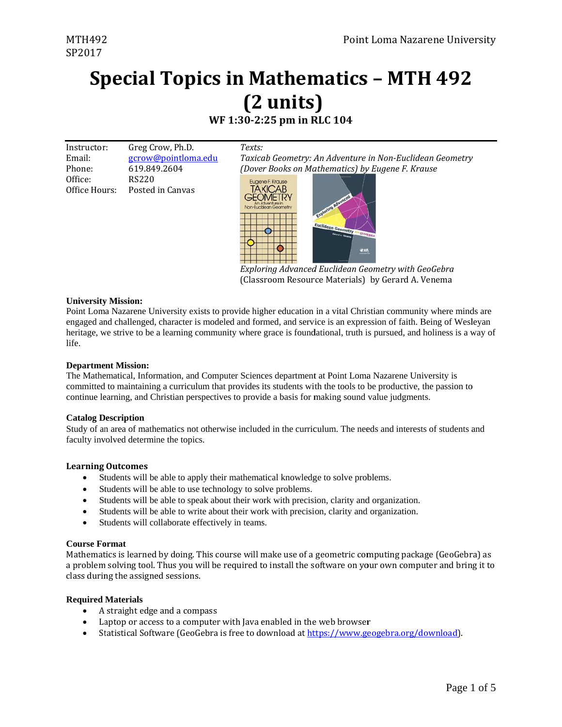### **Special Topics in Mathematics - MTH 492** (2 units) WF 1:30-2:25 pm in RLC 104

| Instructor: | Greg Crow, Ph.D.           | Texts: |
|-------------|----------------------------|--------|
| Email:      | <u>gcrow@pointloma.edu</u> | Taxico |
| Phone:      | 619.849.2604               | (Dove  |
| Office:     | RS220                      |        |

Office Hours: Posted in Canvas

ixicab Geometry: An Adventure in Non-Euclidean Geometry over Books on Mathematics) by Eugene F. Krause



Exploring Advanced Euclidean Geometry with GeoGebra (Classroom Resource Materials) by Gerard A. Venema

#### **University Mission:**

Point Loma Nazarene University exists to provide higher education in a vital Christian community where minds are engaged and challenged, character is modeled and formed, and service is an expression of faith. Being of Wesleyan heritage, we strive to be a learning community where grace is foundational, truth is pursued, and holiness is a way of life.

#### **Department Mission:**

The Mathematical, Information, and Computer Sciences department at Point Loma Nazarene University is committed to maintaining a curriculum that provides its students with the tools to be productive, the passion to continue learning, and Christian perspectives to provide a basis for making sound value judgments.

#### **Catalog Description**

Study of an area of mathematics not otherwise included in the curriculum. The needs and interests of students and faculty involved determine the topics.

#### **Learning Outcomes**

- $\bullet$ Students will be able to apply their mathematical knowledge to solve problems.
- Students will be able to use technology to solve problems.
- Students will be able to speak about their work with precision, clarity and organization.  $\bullet$
- Students will be able to write about their work with precision, clarity and organization.
- Students will collaborate effectively in teams.

#### **Course Format**

Mathematics is learned by doing. This course will make use of a geometric computing package (GeoGebra) as a problem solving tool. Thus you will be required to install the software on your own computer and bring it to class during the assigned sessions.

#### **Required Materials**

- A straight edge and a compass
- Laptop or access to a computer with Java enabled in the web browser
- Statistical Software (GeoGebra is free to download at https://www.geogebra.org/download).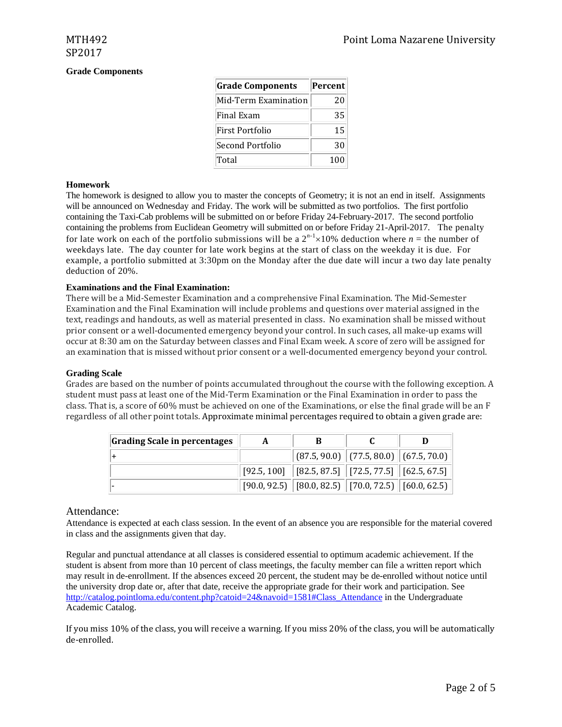### **Grade Components**

| <b>Grade Components</b> | Percent |
|-------------------------|---------|
| Mid-Term Examination    | 20      |
| Final Exam              | 35      |
| First Portfolio         | 15      |
| Second Portfolio        | 30      |
| Total                   | 100     |

#### **Homework**

The homework is designed to allow you to master the concepts of Geometry; it is not an end in itself. Assignments will be announced on Wednesday and Friday. The work will be submitted as two portfolios. The first portfolio containing the Taxi-Cab problems will be submitted on or before Friday 24-February-2017. The second portfolio containing the problems from Euclidean Geometry will submitted on or before Friday 21-April-2017. The penalty for late work on each of the portfolio submissions will be a  $2^{n-1} \times 10\%$  deduction where  $n =$  the number of weekdays late. The day counter for late work begins at the start of class on the weekday it is due. For example, a portfolio submitted at 3:30pm on the Monday after the due date will incur a two day late penalty deduction of 20%.

### **Examinations and the Final Examination:**

There will be a Mid-Semester Examination and a comprehensive Final Examination. The Mid-Semester Examination and the Final Examination will include problems and questions over material assigned in the text, readings and handouts, as well as material presented in class. No examination shall be missed without prior consent or a well-documented emergency beyond your control. In such cases, all make-up exams will occur at 8:30 am on the Saturday between classes and Final Exam week. A score of zero will be assigned for an examination that is missed without prior consent or a well-documented emergency beyond your control.

#### **Grading Scale**

Grades are based on the number of points accumulated throughout the course with the following exception. A student must pass at least one of the Mid-Term Examination or the Final Examination in order to pass the class. That is, a score of  $60\%$  must be achieved on one of the Examinations, or else the final grade will be an F regardless of all other point totals. Approximate minimal percentages required to obtain a given grade are:

| Grading Scale in percentages | A | В                                                                              |  |
|------------------------------|---|--------------------------------------------------------------------------------|--|
|                              |   | $\ $ (87.5, 90.0) $\ $ (77.5, 80.0) $\ $ (67.5, 70.0)                          |  |
|                              |   | $\mid$ [92.5, 100] $\mid$ [82.5, 87.5] $\mid$ [72.5, 77.5] $\mid$ [62.5, 67.5] |  |
|                              |   | $[90.0, 92.5]$ $[80.0, 82.5]$ $[70.0, 72.5]$ $[60.0, 62.5]$                    |  |

#### Attendance:

Attendance is expected at each class session. In the event of an absence you are responsible for the material covered in class and the assignments given that day.

Regular and punctual attendance at all classes is considered essential to optimum academic achievement. If the student is absent from more than 10 percent of class meetings, the faculty member can file a written report which may result in de-enrollment. If the absences exceed 20 percent, the student may be de-enrolled without notice until the university drop date or, after that date, receive the appropriate grade for their work and participation. See http://catalog.pointloma.edu/content.php?catoid=24&navoid=1581#Class\_Attendance in the Undergraduate Academic Catalog.

If you miss  $10\%$  of the class, you will receive a warning. If you miss  $20\%$  of the class, you will be automatically de‐enrolled.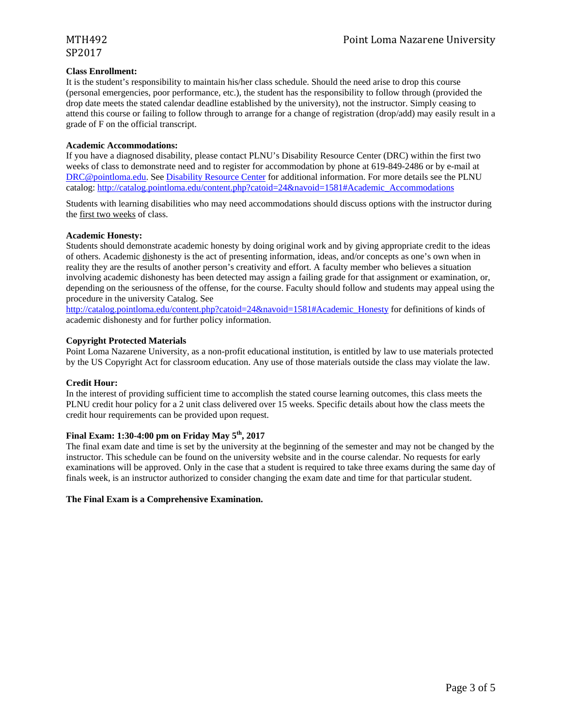# SP2017

#### **Class Enrollment:**

It is the student's responsibility to maintain his/her class schedule. Should the need arise to drop this course (personal emergencies, poor performance, etc.), the student has the responsibility to follow through (provided the drop date meets the stated calendar deadline established by the university), not the instructor. Simply ceasing to attend this course or failing to follow through to arrange for a change of registration (drop/add) may easily result in a grade of F on the official transcript.

#### **Academic Accommodations:**

If you have a diagnosed disability, please contact PLNU's Disability Resource Center (DRC) within the first two weeks of class to demonstrate need and to register for accommodation by phone at 619-849-2486 or by e-mail at DRC@pointloma.edu. See Disability Resource Center for additional information. For more details see the PLNU catalog: http://catalog.pointloma.edu/content.php?catoid=24&navoid=1581#Academic\_Accommodations

Students with learning disabilities who may need accommodations should discuss options with the instructor during the first two weeks of class.

### **Academic Honesty:**

Students should demonstrate academic honesty by doing original work and by giving appropriate credit to the ideas of others. Academic dishonesty is the act of presenting information, ideas, and/or concepts as one's own when in reality they are the results of another person's creativity and effort. A faculty member who believes a situation involving academic dishonesty has been detected may assign a failing grade for that assignment or examination, or, depending on the seriousness of the offense, for the course. Faculty should follow and students may appeal using the procedure in the university Catalog. See

http://catalog.pointloma.edu/content.php?catoid=24&navoid=1581#Academic\_Honesty for definitions of kinds of academic dishonesty and for further policy information.

### **Copyright Protected Materials**

Point Loma Nazarene University, as a non-profit educational institution, is entitled by law to use materials protected by the US Copyright Act for classroom education. Any use of those materials outside the class may violate the law.

#### **Credit Hour:**

In the interest of providing sufficient time to accomplish the stated course learning outcomes, this class meets the PLNU credit hour policy for a 2 unit class delivered over 15 weeks. Specific details about how the class meets the credit hour requirements can be provided upon request.

### **Final Exam: 1:30-4:00 pm on Friday May 5th, 2017**

The final exam date and time is set by the university at the beginning of the semester and may not be changed by the instructor. This schedule can be found on the university website and in the course calendar. No requests for early examinations will be approved. Only in the case that a student is required to take three exams during the same day of finals week, is an instructor authorized to consider changing the exam date and time for that particular student.

#### **The Final Exam is a Comprehensive Examination.**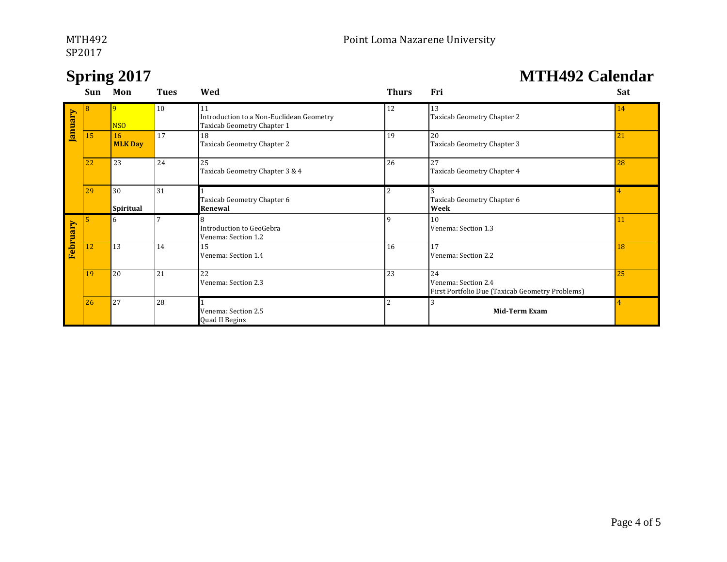# SP2017 and the set of the set of the set of the set of the set of the set of the set of the set of the set of the set of the set of the set of the set of the set of the set of the set of the set of the set of the set of th

## **Spring 2017 MTH492 Calendar**

|          | Sun | Mon                  | <b>Tues</b> | Wed                                                                          | <b>Thurs</b>             | Fri                                                                          | Sat |
|----------|-----|----------------------|-------------|------------------------------------------------------------------------------|--------------------------|------------------------------------------------------------------------------|-----|
| January  | 8   | 9<br><b>NSO</b>      | 10          | 11<br>Introduction to a Non-Euclidean Geometry<br>Taxicab Geometry Chapter 1 | 12                       | 13<br>Taxicab Geometry Chapter 2                                             | 14  |
|          | 15  | 16<br><b>MLK Day</b> | 17          | 18<br>Taxicab Geometry Chapter 2                                             | 19                       | 20<br>Taxicab Geometry Chapter 3                                             | 21  |
|          | 22  | 23                   | 24          | 25<br>Taxicab Geometry Chapter 3 & 4                                         | 26                       | 27<br>Taxicab Geometry Chapter 4                                             | 28  |
|          | 29  | 30<br>Spiritual      | 31          | Taxicab Geometry Chapter 6<br>Renewal                                        | $\overline{\mathcal{L}}$ | Taxicab Geometry Chapter 6<br>Week                                           |     |
| February | 5   | 6                    |             | Introduction to GeoGebra<br>Venema: Section 1.2                              |                          | 10<br>Venema: Section 1.3                                                    | 11  |
|          | 12  | 13                   | 14          | 15<br>Venema: Section 1.4                                                    | 16                       | 17<br>Venema: Section 2.2                                                    | 18  |
|          | 19  | 20                   | 21          | 22<br>Venema: Section 2.3                                                    | 23                       | 24<br>Venema: Section 2.4<br>First Portfolio Due (Taxicab Geometry Problems) | 25  |
|          | 26  | 27                   | 28          | Venema: Section 2.5<br>Quad II Begins                                        |                          | Mid-Term Exam                                                                |     |